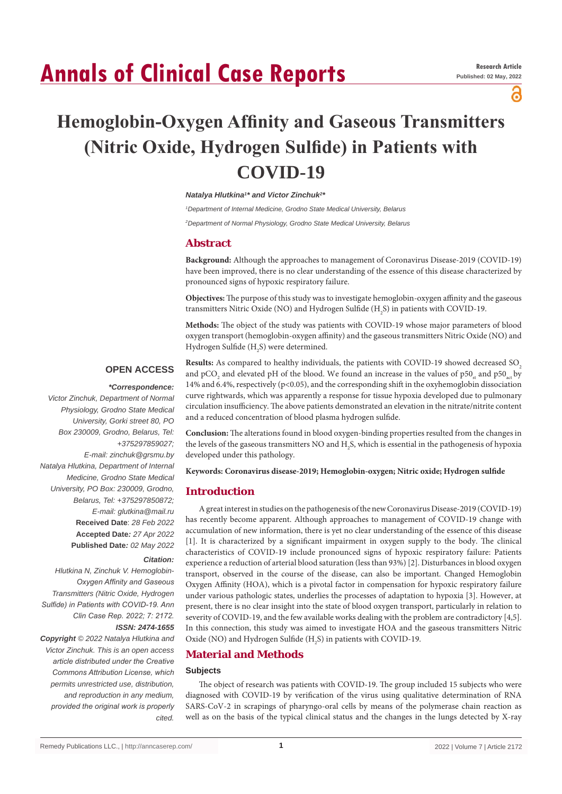# **Annals of Clinical Case Reports**

പ്പ

# **Hemoglobin-Oxygen Affinity and Gaseous Transmitters (Nitric Oxide, Hydrogen Sulfide) in Patients with COVID-19**

**Natalya Hlutkina<sup>1\*</sup> and Victor Zinchuk<sup>2</sup><sup>\*</sup>** 

*1 Department of Internal Medicine, Grodno State Medical University, Belarus*

*2 Department of Normal Physiology, Grodno State Medical University, Belarus*

# **Abstract**

**Background:** Although the approaches to management of Coronavirus Disease-2019 (COVID-19) have been improved, there is no clear understanding of the essence of this disease characterized by pronounced signs of hypoxic respiratory failure.

**Objectives:** The purpose of this study was to investigate hemoglobin-oxygen affinity and the gaseous transmitters Nitric Oxide (NO) and Hydrogen Sulfide (H<sub>2</sub>S) in patients with COVID-19.

**Methods:** The object of the study was patients with COVID-19 whose major parameters of blood oxygen transport (hemoglobin-oxygen affinity) and the gaseous transmitters Nitric Oxide (NO) and Hydrogen Sulfide ( $\rm H_2S$ ) were determined.

# **OPEN ACCESS**

# *\*Correspondence:*

*Victor Zinchuk, Department of Normal Physiology, Grodno State Medical University, Gorki street 80, PO Box 230009, Grodno, Belarus, Tel: +375297859027; E-mail: zinchuk@grsmu.by Natalya Hlutkina, Department of Internal Medicine, Grodno State Medical University, PO Box: 230009, Grodno, Belarus, Tel: +375297850872; E-mail: glutkina@mail.ru* **Received Date**: *28 Feb 2022* **Accepted Date***: 27 Apr 2022* **Published Date***: 02 May 2022*

#### *Citation:*

*Hlutkina N, Zinchuk V. Hemoglobin-Oxygen Affinity and Gaseous Transmitters (Nitric Oxide, Hydrogen Sulfide) in Patients with COVID-19. Ann Clin Case Rep. 2022; 7: 2172. ISSN: 2474-1655*

*Copyright © 2022 Natalya Hlutkina and Victor Zinchuk. This is an open access article distributed under the Creative Commons Attribution License, which permits unrestricted use, distribution, and reproduction in any medium, provided the original work is properly cited.*

**Results:** As compared to healthy individuals, the patients with COVID-19 showed decreased SO<sub>2</sub> and pCO<sub>2</sub> and elevated pH of the blood. We found an increase in the values of p50<sub>st</sub> and p50<sub>st</sub> by 14% and 6.4%, respectively (p<0.05), and the corresponding shift in the oxyhemoglobin dissociation curve rightwards, which was apparently a response for tissue hypoxia developed due to pulmonary circulation insufficiency. The above patients demonstrated an elevation in the nitrate/nitrite content and a reduced concentration of blood plasma hydrogen sulfide.

**Conclusion:** The alterations found in blood oxygen-binding properties resulted from the changes in the levels of the gaseous transmitters NO and  $\rm{H}_{2}S$ , which is essential in the pathogenesis of hypoxia developed under this pathology.

**Keywords: Coronavirus disease-2019; Hemoglobin-oxygen; Nitric oxide; Hydrogen sulfide**

# **Introduction**

A great interest in studies on the pathogenesis of the new Coronavirus Disease-2019 (COVID-19) has recently become apparent. Although approaches to management of СOVID-19 change with accumulation of new information, there is yet no clear understanding of the essence of this disease [1]. It is characterized by a significant impairment in oxygen supply to the body. The clinical characteristics of COVID-19 include pronounced signs of hypoxic respiratory failure: Patients experience a reduction of arterial blood saturation (less than 93%) [2]. Disturbances in blood oxygen transport, observed in the course of the disease, can also be important. Changed Hemoglobin Oxygen Affinity (HOA), which is a pivotal factor in compensation for hypoxic respiratory failure under various pathologic states, underlies the processes of adaptation to hypoxia [3]. However, at present, there is no clear insight into the state of blood oxygen transport, particularly in relation to severity of COVID-19, and the few available works dealing with the problem are contradictory [4,5]. In this connection, this study was aimed to investigate HOA and the gaseous transmitters Nitric Oxide (NO) and Hydrogen Sulfide ( $H_2S$ ) in patients with COVID-19.

# **Material and Methods**

#### **Subjects**

The object of research was patients with COVID-19. The group included 15 subjects who were diagnosed with COVID-19 by verification of the virus using qualitative determination of RNA SARS-CoV-2 in scrapings of pharyngo-oral cells by means of the polymerase chain reaction as well as on the basis of the typical clinical status and the changes in the lungs detected by X-ray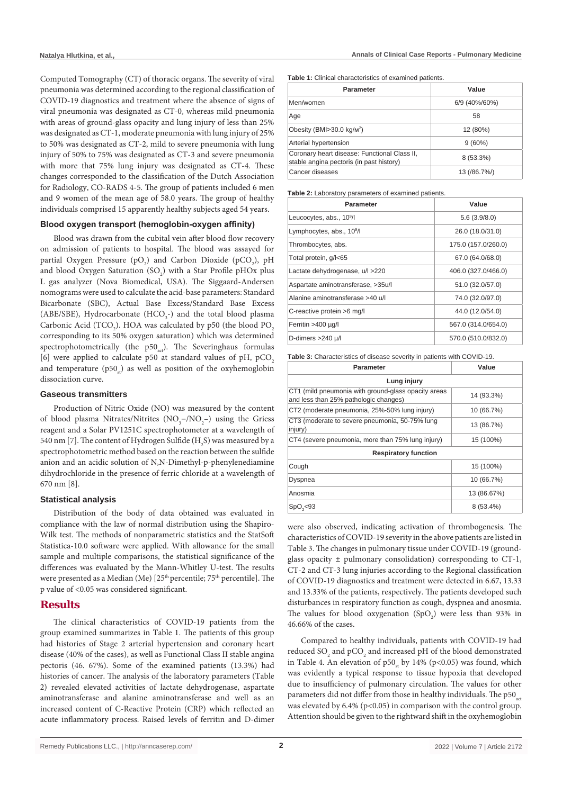Computed Tomography (CT) of thoracic organs. The severity of viral pneumonia was determined according to the regional classification of COVID-19 diagnostics and treatment where the absence of signs of viral pneumonia was designated as CT-0, whereas mild pneumonia with areas of ground-glass opacity and lung injury of less than 25% was designated as CT-1, moderate pneumonia with lung injury of 25% to 50% was designated as CT-2, mild to severe pneumonia with lung injury of 50% to 75% was designated as CT-3 and severe pneumonia with more that 75% lung injury was designated as CT-4. These changes corresponded to the classification of the Dutch Association for Radiology, CO-RADS 4-5. The group of patients included 6 men and 9 women of the mean age of 58.0 years. The group of healthy individuals comprised 15 apparently healthy subjects aged 54 years.

#### **Blood oxygen transport (hemoglobin-oxygen affinity)**

Blood was drawn from the cubital vein after blood flow recovery on admission of patients to hospital. The blood was assayed for partial Oxygen Pressure ( $pO_2$ ) and Carbon Dioxide ( $pCO_2$ ),  $pH$ and blood Oxygen Saturation  $(SO_2)$  with a Star Profile pHOx plus L gas analyzer (Nova Biomedical, USA). The Siggaard-Andersen nomograms were used to calculate the acid-base parameters: Standard Bicarbonate (SBC), Actual Base Excess/Standard Base Excess (ABE/SBE), Hydrocarbonate (HCO<sub>3</sub>-) and the total blood plasma Carbonic Acid (TCO<sub>2</sub>). HOA was calculated by p50 (the blood  $\mathrm{PO}_2$ corresponding to its 50% oxygen saturation) which was determined spectrophotometrically (the  $p50$ <sub>ac</sub>). The Severinghaus formulas [6] were applied to calculate p50 at standard values of pH, pCO<sub>2</sub> and temperature  $(p50<sub>n</sub>)$  as well as position of the oxyhemoglobin dissociation curve.

#### **Gaseous transmitters**

Production of Nitric Oxide (NO) was measured by the content of blood plasma Nitrates/Nitrites  $(NO<sub>3</sub>–/NO<sub>2</sub>–)$  using the Griess reagent and a Solar PV1251C spectrophotometer at a wavelength of 540 nm [7]. The content of Hydrogen Sulfide (H<sub>2</sub>S) was measured by a spectrophotometric method based on the reaction between the sulfide anion and an acidic solution of N,N-Dimethyl-p-phenylenediamine dihydrochloride in the presence of ferric chloride at a wavelength of 670 nm [8].

#### **Statistical analysis**

Distribution of the body of data obtained was evaluated in compliance with the law of normal distribution using the Shapiro-Wilk test. The methods of nonparametric statistics and the StatSoft Statistica-10.0 software were applied. With allowance for the small sample and multiple comparisons, the statistical significance of the differences was evaluated by the Mann-Whitley U-test. The results were presented as a Median (Me) [25<sup>th</sup> percentile; 75<sup>th</sup> percentile]. The p value of <0.05 was considered significant.

# **Results**

The clinical characteristics of COVID-19 patients from the group examined summarizes in Table 1. The patients of this group had histories of Stage 2 arterial hypertension and coronary heart disease (40% of the cases), as well as Functional Class II stable angina pectoris (46. 67%). Some of the examined patients (13.3%) had histories of cancer. The analysis of the laboratory parameters (Table 2) revealed elevated activities of lactate dehydrogenase, aspartate aminotransferase and alanine aminotransferase and well as an increased content of С-Reactive Protein (CRP) which reflected an acute inflammatory process. Raised levels of ferritin and D-dimer **Table 1:** Clinical characteristics of examined patients.

| <b>Parameter</b>                                                                         | Value         |
|------------------------------------------------------------------------------------------|---------------|
| Men/women                                                                                | 6/9 (40%/60%) |
| Age                                                                                      | 58            |
| Obesity (BMI>30.0 kg/m <sup>2</sup> )                                                    | 12 (80%)      |
| Arterial hypertension                                                                    | $9(60\%)$     |
| Coronary heart disease: Functional Class II,<br>stable angina pectoris (in past history) | $8(53.3\%)$   |
| Cancer diseases                                                                          | 13 (/86.7%)   |

**Table 2:** Laboratory parameters of examined patients.

| <b>Parameter</b>                      | Value               |
|---------------------------------------|---------------------|
| Leucocytes, abs., 10 <sup>9</sup> /l  | 5.6(3.9/8.0)        |
| Lymphocytes, abs., 10 <sup>9</sup> /l | 26.0 (18.0/31.0)    |
| Thrombocytes, abs.                    | 175.0 (157.0/260.0) |
| Total protein, g/l<65                 | 67.0 (64.0/68.0)    |
| Lactate dehydrogenase, u/l >220       | 406.0 (327.0/466.0) |
| Aspartate aminotransferase, >35u/l    | 51.0 (32.0/57.0)    |
| Alanine aminotransferase >40 u/l      | 74.0 (32.0/97.0)    |
| C-reactive protein >6 mg/l            | 44.0 (12.0/54.0)    |
| Ferritin >400 µg/l                    | 567.0 (314.0/654.0) |
| D-dimers >240 µ/l                     | 570.0 (510.0/832.0) |

**Table 3:** Characteristics of disease severity in patients with COVID-19.

| <b>Parameter</b>                                                                             | Value       |  |  |  |
|----------------------------------------------------------------------------------------------|-------------|--|--|--|
| Lung injury                                                                                  |             |  |  |  |
| CT1 (mild pneumonia with ground-glass opacity areas<br>and less than 25% pathologic changes) | 14 (93.3%)  |  |  |  |
| CT2 (moderate pneumonia, 25%-50% lung injury)                                                | 10 (66.7%)  |  |  |  |
| CT3 (moderate to severe pneumonia, 50-75% lung<br>injury)                                    | 13 (86.7%)  |  |  |  |
| CT4 (severe pneumonia, more than 75% lung injury)                                            | 15 (100%)   |  |  |  |
| <b>Respiratory function</b>                                                                  |             |  |  |  |
| Cough                                                                                        | 15 (100%)   |  |  |  |
| Dyspnea                                                                                      | 10 (66.7%)  |  |  |  |
| Anosmia                                                                                      | 13 (86.67%) |  |  |  |
| SpO, < 93                                                                                    | $8(53.4\%)$ |  |  |  |

were also observed, indicating activation of thrombogenesis. The characteristics of COVID-19 severity in the above patients are listed in Table 3. The changes in pulmonary tissue under COVID-19 (groundglass opacity  $\pm$  pulmonary consolidation) corresponding to CT-1, CT-2 and CT-3 lung injuries according to the Regional classification of COVID-19 diagnostics and treatment were detected in 6.67, 13.33 and 13.33% of the patients, respectively. The patients developed such disturbances in respiratory function as cough, dyspnea and anosmia. The values for blood oxygenation  $(SpO<sub>2</sub>)$  were less than 93% in 46.66% of the cases.

Compared to healthy individuals, patients with COVID-19 had reduced  $\text{SO}_2$  and  $\text{pCO}_2$  and increased pH of the blood demonstrated in Table 4. An elevation of  $p50<sub>st</sub>$  by 14% (p<0.05) was found, which was evidently a typical response to tissue hypoxia that developed due to insufficiency of pulmonary circulation. The values for other parameters did not differ from those in healthy individuals. The  $p50<sub>at</sub>$ was elevated by  $6.4\%$  (p<0.05) in comparison with the control group. Attention should be given to the rightward shift in the oxyhemoglobin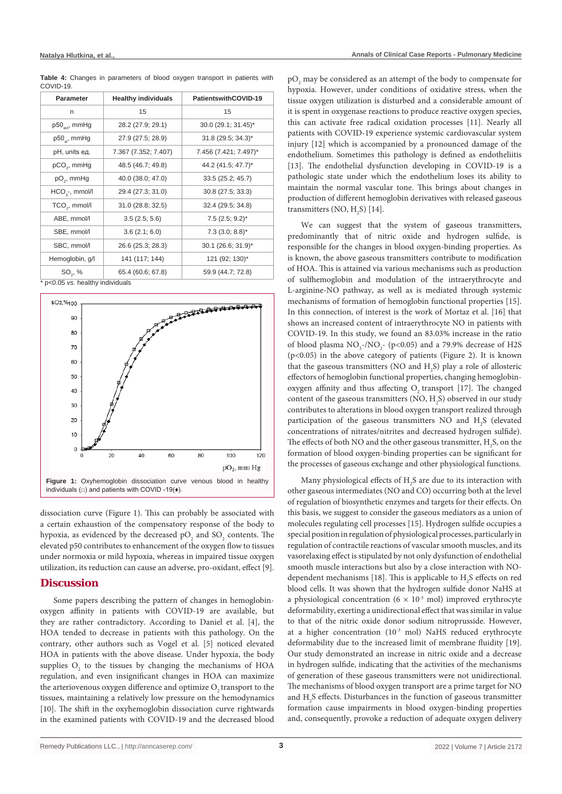| Table 4: Changes in parameters of blood oxygen transport in patients with |  |  |  |  |
|---------------------------------------------------------------------------|--|--|--|--|
| COVID-19.                                                                 |  |  |  |  |

| <b>Parameter</b>                | <b>Healthy individuals</b> | PatientswithCOVID-19          |  |  |
|---------------------------------|----------------------------|-------------------------------|--|--|
| n                               | 15                         | 15                            |  |  |
| $p50_{\text{net}}$ , mmHg       | 28.2 (27.9; 29.1)          | 30.0 (29.1; 31.45)*           |  |  |
| $p50_{\tiny{\text{et}}}$ , mmHg | 27.9 (27.5; 28.9)          | $31.8(29.5; 34.3)^*$          |  |  |
| pH, units ед.                   | 7.367 (7.352; 7.407)       | 7.456 (7.421; 7.497)*         |  |  |
| pCO <sub>2</sub> , mmHg         | 48.5 (46.7; 49.8)          | 44.2 (41.5; 47.7)*            |  |  |
| pO <sub>2</sub> , mmHg          | 40.0 (38.0; 47.0)          | 33.5 (25.2; 45.7)             |  |  |
| $HCO3$ -, mmol/l                | 29.4 (27.3; 31.0)          | 30.8 (27.5; 33.3)             |  |  |
| TCO <sub>2</sub> , mmol/l       | 31.0 (28.8; 32.5)          | 32.4 (29.5; 34.8)             |  |  |
| ABE, mmol/l                     | 3.5(2.5; 5.6)              | $7.5(2.5; 9.2)^{*}$           |  |  |
| SBE, mmol/l                     | 3.6(2.1; 6.0)              | $7.3$ (3.0; 8.8) <sup>*</sup> |  |  |
| SBC, mmol/l                     | 26.6 (25.3; 28.3)          | 30.1 (26.6; 31.9)*            |  |  |
| Hemoglobin, g/l                 | 141 (117; 144)             | 121 (92; 130)*                |  |  |
| $SO_{2}$ , %                    | 65.4 (60.6; 67.8)          | 59.9 (44.7; 72.8)             |  |  |

\* p<0.05 *vs*. healthy individuals



dissociation curve (Figure 1). This can probably be associated with a certain exhaustion of the compensatory response of the body to hypoxia, as evidenced by the decreased  $\tt pO_{2}$  and  $\tt SO_{2}$  contents. The elevated p50 contributes to enhancement of the oxygen flow to tissues under normoxia or mild hypoxia, whereas in impaired tissue oxygen utilization, its reduction can cause an adverse, pro-oxidant, effect [9].

# **Discussion**

Some papers describing the pattern of changes in hemoglobinoxygen affinity in patients with COVID-19 are available, but they are rather contradictory. According to Daniel et al. [4], the HOA tended to decrease in patients with this pathology. On the contrary, other authors such as Vogel et al. [5] noticed elevated HOA in patients with the above disease. Under hypoxia, the body supplies  $O_2$  to the tissues by changing the mechanisms of HOA regulation, and even insignificant changes in HOA can maximize the arteriovenous oxygen difference and optimize O<sub>2</sub> transport to the tissues, maintaining a relatively low pressure on the hemodynamics [10]. The shift in the oxyhemoglobin dissociation curve rightwards in the examined patients with COVID-19 and the decreased blood

 $\rm{pO}_{2}$  may be considered as an attempt of the body to compensate for hypoxia. However, under conditions of oxidative stress, when the tissue oxygen utilization is disturbed and a considerable amount of it is spent in oxygenase reactions to produce reactive oxygen species, this can activate free radical oxidation processes [11]. Nearly all patients with COVID-19 experience systemic cardiovascular system injury [12] which is accompanied by a pronounced damage of the endothelium. Sometimes this pathology is defined as endotheliitis [13]. The endothelial dysfunction developing in COVID-19 is a pathologic state under which the endothelium loses its ability to maintain the normal vascular tone. This brings about changes in production of different hemoglobin derivatives with released gaseous transmitters (NO,  $H_2S$ ) [14].

We can suggest that the system of gaseous transmitters, predominantly that of nitric oxide and hydrogen sulfide, is responsible for the changes in blood oxygen-binding properties. As is known, the above gaseous transmitters contribute to modification of HOA. This is attained via various mechanisms such as production of sulfhemoglobin and modulation of the intraerythrocyte and L-arginine-NO pathway, as well as is mediated through systemic mechanisms of formation of hemoglobin functional properties [15]. In this connection, of interest is the work of Mortaz et al. [16] that shows an increased content of intraerythrocyte NO in patients with COVID-19. In this study, we found an 83.03% increase in the ratio of blood plasma  $NO_3$ -/NO<sub>2</sub>- (p<0.05) and a 79.9% decrease of H2S (p<0.05) in the above category of patients (Figure 2). It is known that the gaseous transmitters (NO and  $H_2S$ ) play a role of allosteric effectors of hemoglobin functional properties, changing hemoglobinoxygen affinity and thus affecting  $O$ , transport [17]. The changed content of the gaseous transmitters  $(NO, H<sub>2</sub>S)$  observed in our study contributes to alterations in blood oxygen transport realized through participation of the gaseous transmitters NO and  $H_2S$  (elevated concentrations of nitrates/nitrites and decreased hydrogen sulfide). The effects of both NO and the other gaseous transmitter,  $H_2S$ , on the formation of blood oxygen-binding properties can be significant for the processes of gaseous exchange and other physiological functions.

Many physiological effects of  $H_2S$  are due to its interaction with other gaseous intermediates (NO and CO) occurring both at the level of regulation of biosynthetic enzymes and targets for their effects. On this basis, we suggest to consider the gaseous mediators as a union of molecules regulating cell processes [15]. Hydrogen sulfide occupies a special position in regulation of physiological processes, particularly in regulation of contractile reactions of vascular smooth muscles, and its vasorelaxing effect is stipulated by not only dysfunction of endothelial smooth muscle interactions but also by a close interaction with NOdependent mechanisms [18]. This is applicable to  $H_2S$  effects on red blood cells. It was shown that the hydrogen sulfide donor NaHS at a physiological concentration ( $6 \times 10^{-5}$  mol) improved erythrocyte deformability, exerting a unidirectional effect that was similar in value to that of the nitric oxide donor sodium nitroprusside. However, at a higher concentration  $(10^{-3} \text{ mol})$  NaHS reduced erythrocyte deformability due to the increased limit of membrane fluidity [19]. Our study demonstrated an increase in nitric oxide and a decrease in hydrogen sulfide, indicating that the activities of the mechanisms of generation of these gaseous transmitters were not unidirectional. The mechanisms of blood oxygen transport are a prime target for NO and  $H_2S$  effects. Disturbances in the function of gaseous transmitter formation cause impairments in blood oxygen-binding properties and, consequently, provoke a reduction of adequate oxygen delivery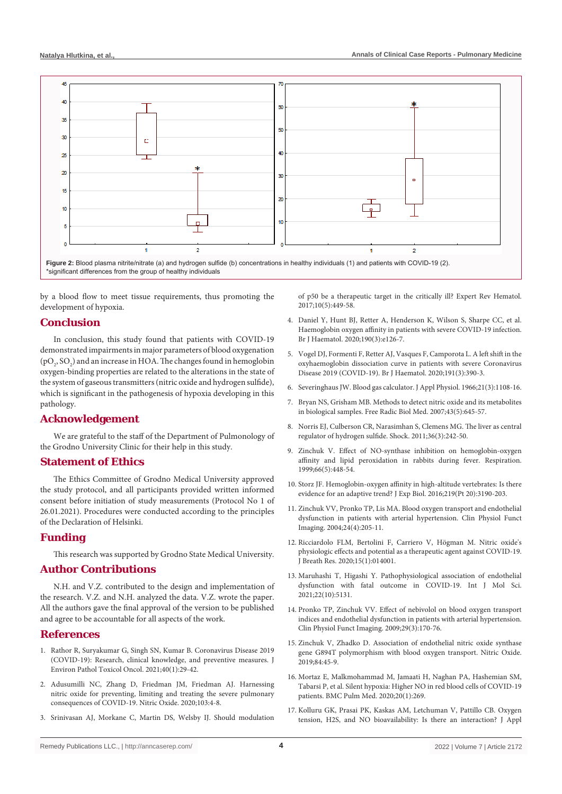

by a blood flow to meet tissue requirements, thus promoting the development of hypoxia.

### **Conclusion**

In conclusion, this study found that patients with COVID-19 demonstrated impairments in major parameters of blood oxygenation  $(pO<sub>2</sub>, SO<sub>2</sub>)$  and an increase in HOA. The changes found in hemoglobin oxygen-binding properties are related to the alterations in the state of the system of gaseous transmitters (nitric oxide and hydrogen sulfide), which is significant in the pathogenesis of hypoxia developing in this pathology.

# **Acknowledgement**

We are grateful to the staff of the Department of Pulmonology of the Grodno University Clinic for their help in this study.

### **Statement of Ethics**

The Ethics Committee of Grodno Medical University approved the study protocol, and all participants provided written informed consent before initiation of study measurements (Protocol No 1 of 26.01.2021). Procedures were conducted according to the principles of the Declaration of Helsinki.

#### **Funding**

This research was supported by Grodno State Medical University.

# **Author Contributions**

N.H. and V.Z. contributed to the design and implementation of the research. V.Z. and N.H. analyzed the data. V.Z. wrote the paper. All the authors gave the final approval of the version to be published and agree to be accountable for all aspects of the work.

# **References**

- 1. [Rathor R, Suryakumar G, Singh SN, Kumar B. Coronavirus Disease 2019](https://pubmed.ncbi.nlm.nih.gov/33639071/)  [\(COVID-19\): Research, clinical knowledge, and preventive measures. J](https://pubmed.ncbi.nlm.nih.gov/33639071/)  [Environ Pathol Toxicol Oncol. 2021;40\(1\):29-42.](https://pubmed.ncbi.nlm.nih.gov/33639071/)
- 2. [Adusumilli NC, Zhang D, Friedman JM, Friedman AJ. Harnessing](https://www.sciencedirect.com/science/article/pii/S1089860320301701)  [nitric oxide for preventing, limiting and treating the severe pulmonary](https://www.sciencedirect.com/science/article/pii/S1089860320301701)  [consequences of COVID-19. Nitric Oxide. 2020;103:4-8.](https://www.sciencedirect.com/science/article/pii/S1089860320301701)
- 3. [Srinivasan AJ, Morkane C, Martin DS, Welsby IJ. Should modulation](https://pubmed.ncbi.nlm.nih.gov/28402148/)

[of p50 be a therapeutic target in the critically ill? Expert Rev Hematol.](https://pubmed.ncbi.nlm.nih.gov/28402148/)  [2017;10\(5\):449-58.](https://pubmed.ncbi.nlm.nih.gov/28402148/)

- 4. [Daniel Y, Hunt BJ, Retter A, Henderson K, Wilson S, Sharpe CC, et al.](https://pubmed.ncbi.nlm.nih.gov/32453889/)  [Haemoglobin oxygen affinity in patients with severe COVID-19 infection.](https://pubmed.ncbi.nlm.nih.gov/32453889/)  [Br J Haematol. 2020;190\(3\):e126-7.](https://pubmed.ncbi.nlm.nih.gov/32453889/)
- 5. [Vogel DJ, Formenti F, Retter AJ, Vasques F, Camporota L. A left shift in the](https://pubmed.ncbi.nlm.nih.gov/33037620/)  [oxyhaemoglobin dissociation curve in patients with severe Coronavirus](https://pubmed.ncbi.nlm.nih.gov/33037620/)  [Disease 2019 \(COVID-19\). Br J Haematol. 2020;191\(3\):390-3.](https://pubmed.ncbi.nlm.nih.gov/33037620/)
- 6. [Severinghaus JW. Blood gas calculator. J Appl Physiol. 1966;21\(3\):1108-16.](https://journals.physiology.org/doi/abs/10.1152/jappl.1966.21.3.1108)
- 7. [Bryan NS, Grisham MB. Methods to detect nitric oxide and its metabolites](https://pubmed.ncbi.nlm.nih.gov/17664129/)  [in biological samples. Free Radic Biol Med. 2007;43\(5\):645-57.](https://pubmed.ncbi.nlm.nih.gov/17664129/)
- 8. [Norris EJ, Culberson CR, Narasimhan S, Clemens MG. The liver as central](https://pubmed.ncbi.nlm.nih.gov/21617578/)  [regulator of hydrogen sulfide. Shock. 2011;36\(3\):242-50.](https://pubmed.ncbi.nlm.nih.gov/21617578/)
- 9. [Zinchuk V. Effect of NO-synthase inhibition on hemoglobin-oxygen](https://pubmed.ncbi.nlm.nih.gov/10516542/)  [affinity and lipid peroxidation in rabbits during fever. Respiration.](https://pubmed.ncbi.nlm.nih.gov/10516542/)  [1999;66\(5\):448-54.](https://pubmed.ncbi.nlm.nih.gov/10516542/)
- 10. [Storz JF. Hemoglobin-oxygen affinity in high-altitude vertebrates: Is there](https://pubmed.ncbi.nlm.nih.gov/27802149/)  [evidence for an adaptive trend? J Exp Biol. 2016;219\(Pt 20\):3190-203.](https://pubmed.ncbi.nlm.nih.gov/27802149/)
- 11. [Zinchuk VV, Pronko TP, Lis MA. Blood oxygen transport and endothelial](https://pubmed.ncbi.nlm.nih.gov/15233834/)  [dysfunction in patients with arterial hypertension. Clin Physiol Funct](https://pubmed.ncbi.nlm.nih.gov/15233834/)  [Imaging. 2004;24\(4\):205-11.](https://pubmed.ncbi.nlm.nih.gov/15233834/)
- 12. [Ricciardolo FLM, Bertolini F, Carriero V, Högman M. Nitric oxide's](https://pubmed.ncbi.nlm.nih.gov/33080582/)  [physiologic effects and potential as a therapeutic agent against COVID-19.](https://pubmed.ncbi.nlm.nih.gov/33080582/)  [J Breath Res. 2020;15\(1\):014001.](https://pubmed.ncbi.nlm.nih.gov/33080582/)
- 13. [Maruhashi T, Higashi Y. Pathophysiological association of endothelial](https://pubmed.ncbi.nlm.nih.gov/34066226/)  [dysfunction with fatal outcome in COVID-19. Int J Mol Sci.](https://pubmed.ncbi.nlm.nih.gov/34066226/)  [2021;22\(10\):5131.](https://pubmed.ncbi.nlm.nih.gov/34066226/)
- 14. [Pronko TP, Zinchuk VV. Effect of nebivolol on blood oxygen transport](https://pubmed.ncbi.nlm.nih.gov/19170724/)  [indices and endothelial dysfunction in patients with arterial hypertension.](https://pubmed.ncbi.nlm.nih.gov/19170724/)  [Clin Physiol Funct Imaging. 2009;29\(3\):170-76.](https://pubmed.ncbi.nlm.nih.gov/19170724/)
- 15. [Zinchuk V, Zhadko D. Association of endothelial nitric oxide synthase](https://pubmed.ncbi.nlm.nih.gov/30641122/)  [gene G894T polymorphism with blood oxygen transport. Nitric Oxide.](https://pubmed.ncbi.nlm.nih.gov/30641122/)  [2019;84:45-9.](https://pubmed.ncbi.nlm.nih.gov/30641122/)
- 16. [Mortaz E, Malkmohammad M, Jamaati H, Naghan PA, Hashemian SM,](https://pubmed.ncbi.nlm.nih.gov/33066765/)  [Tabarsi P, et al. Silent hypoxia: Higher NO in red blood cells of COVID-19](https://pubmed.ncbi.nlm.nih.gov/33066765/)  [patients. BMC Pulm Med. 2020;20\(1\):269.](https://pubmed.ncbi.nlm.nih.gov/33066765/)
- 17. Kolluru GK, Prasai PK, Kaskas AM, Letchuman V, Pattillo CB. Oxygen tension, H2S, and NO bioavailability: Is there an interaction? J Appl